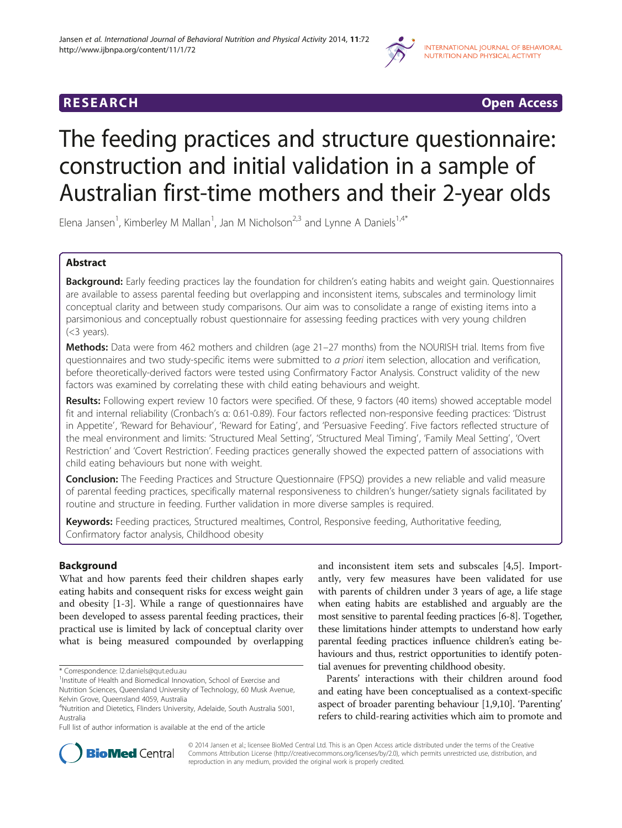

# **RESEARCH RESEARCH** *CHECK CHECK CHECK CHECK CHECK CHECK CHECK CHECK CHECK CHECK CHECK CHECK CHECK CHECK CHECK CHECK CHECK CHECK CHECK CHECK CHECK CHECK CHECK CHECK CHECK CHECK CHECK CHECK CHECK CHECK CHECK CHECK CHECK*

# The feeding practices and structure questionnaire: construction and initial validation in a sample of Australian first-time mothers and their 2-year olds

Elena Jansen<sup>1</sup>, Kimberley M Mallan<sup>1</sup>, Jan M Nicholson<sup>2,3</sup> and Lynne A Daniels<sup>1,4\*</sup>

# Abstract

Background: Early feeding practices lay the foundation for children's eating habits and weight gain. Questionnaires are available to assess parental feeding but overlapping and inconsistent items, subscales and terminology limit conceptual clarity and between study comparisons. Our aim was to consolidate a range of existing items into a parsimonious and conceptually robust questionnaire for assessing feeding practices with very young children (<3 years).

Methods: Data were from 462 mothers and children (age 21-27 months) from the NOURISH trial. Items from five questionnaires and two study-specific items were submitted to a priori item selection, allocation and verification, before theoretically-derived factors were tested using Confirmatory Factor Analysis. Construct validity of the new factors was examined by correlating these with child eating behaviours and weight.

Results: Following expert review 10 factors were specified. Of these, 9 factors (40 items) showed acceptable model fit and internal reliability (Cronbach's α: 0.61-0.89). Four factors reflected non-responsive feeding practices: 'Distrust in Appetite', 'Reward for Behaviour', 'Reward for Eating', and 'Persuasive Feeding'. Five factors reflected structure of the meal environment and limits: 'Structured Meal Setting', 'Structured Meal Timing', 'Family Meal Setting' , 'Overt Restriction' and 'Covert Restriction'. Feeding practices generally showed the expected pattern of associations with child eating behaviours but none with weight.

Conclusion: The Feeding Practices and Structure Questionnaire (FPSQ) provides a new reliable and valid measure of parental feeding practices, specifically maternal responsiveness to children's hunger/satiety signals facilitated by routine and structure in feeding. Further validation in more diverse samples is required.

Keywords: Feeding practices, Structured mealtimes, Control, Responsive feeding, Authoritative feeding, Confirmatory factor analysis, Childhood obesity

# **Background**

What and how parents feed their children shapes early eating habits and consequent risks for excess weight gain and obesity [\[1](#page-11-0)-[3\]](#page-11-0). While a range of questionnaires have been developed to assess parental feeding practices, their practical use is limited by lack of conceptual clarity over what is being measured compounded by overlapping

and inconsistent item sets and subscales [[4,5\]](#page-11-0). Importantly, very few measures have been validated for use with parents of children under 3 years of age, a life stage when eating habits are established and arguably are the most sensitive to parental feeding practices [\[6-8](#page-11-0)]. Together, these limitations hinder attempts to understand how early parental feeding practices influence children's eating behaviours and thus, restrict opportunities to identify potential avenues for preventing childhood obesity.

Parents' interactions with their children around food and eating have been conceptualised as a context-specific aspect of broader parenting behaviour [[1,9,10\]](#page-11-0). 'Parenting' refers to child-rearing activities which aim to promote and



© 2014 Jansen et al.; licensee BioMed Central Ltd. This is an Open Access article distributed under the terms of the Creative Commons Attribution License [\(http://creativecommons.org/licenses/by/2.0\)](http://creativecommons.org/licenses/by/2.0), which permits unrestricted use, distribution, and reproduction in any medium, provided the original work is properly credited.

<sup>\*</sup> Correspondence: [l2.daniels@qut.edu.au](mailto:l2.daniels@qut.edu.au) <sup>1</sup>

<sup>&</sup>lt;sup>1</sup> Institute of Health and Biomedical Innovation, School of Exercise and Nutrition Sciences, Queensland University of Technology, 60 Musk Avenue, Kelvin Grove, Queensland 4059, Australia

<sup>&</sup>lt;sup>4</sup>Nutrition and Dietetics, Flinders University, Adelaide, South Australia 5001, Australia

Full list of author information is available at the end of the article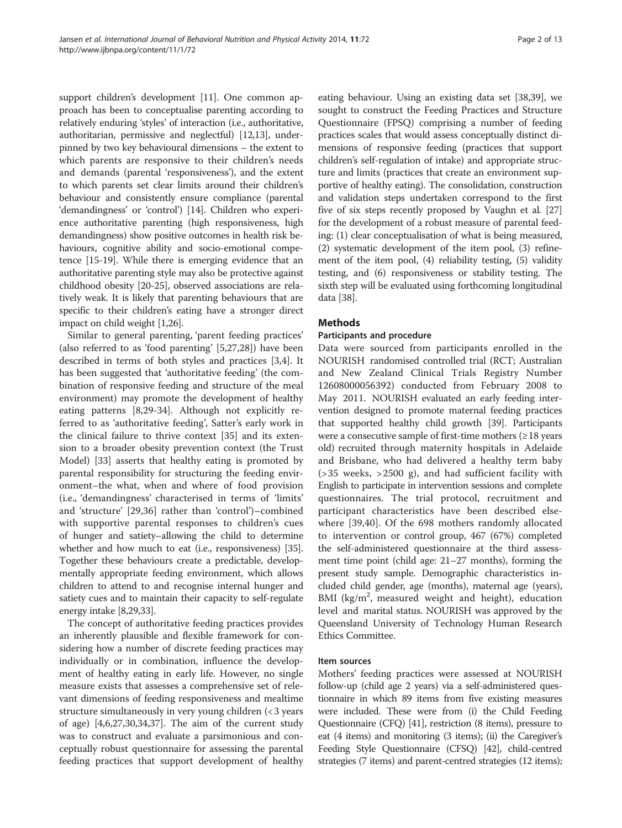support children's development [[11](#page-11-0)]. One common approach has been to conceptualise parenting according to relatively enduring 'styles' of interaction (i.e., authoritative, authoritarian, permissive and neglectful) [\[12,13\]](#page-11-0), underpinned by two key behavioural dimensions – the extent to which parents are responsive to their children's needs and demands (parental 'responsiveness'), and the extent to which parents set clear limits around their children's behaviour and consistently ensure compliance (parental 'demandingness' or 'control') [\[14\]](#page-11-0). Children who experience authoritative parenting (high responsiveness, high demandingness) show positive outcomes in health risk behaviours, cognitive ability and socio-emotional competence [\[15-19](#page-11-0)]. While there is emerging evidence that an authoritative parenting style may also be protective against childhood obesity [[20](#page-11-0)-[25](#page-11-0)], observed associations are relatively weak. It is likely that parenting behaviours that are specific to their children's eating have a stronger direct impact on child weight [\[1,26\]](#page-11-0).

Similar to general parenting, 'parent feeding practices' (also referred to as 'food parenting' [\[5,27,28](#page-11-0)]) have been described in terms of both styles and practices [[3,4\]](#page-11-0). It has been suggested that 'authoritative feeding' (the combination of responsive feeding and structure of the meal environment) may promote the development of healthy eating patterns [[8,29-34](#page-11-0)]. Although not explicitly referred to as 'authoritative feeding', Satter's early work in the clinical failure to thrive context [[35\]](#page-11-0) and its extension to a broader obesity prevention context (the Trust Model) [[33\]](#page-11-0) asserts that healthy eating is promoted by parental responsibility for structuring the feeding environment–the what, when and where of food provision (i.e., 'demandingness' characterised in terms of 'limits' and 'structure' [[29,36](#page-11-0)] rather than 'control')–combined with supportive parental responses to children's cues of hunger and satiety–allowing the child to determine whether and how much to eat (i.e., responsiveness) [[35](#page-11-0)]. Together these behaviours create a predictable, developmentally appropriate feeding environment, which allows children to attend to and recognise internal hunger and satiety cues and to maintain their capacity to self-regulate energy intake [[8,29,33](#page-11-0)].

The concept of authoritative feeding practices provides an inherently plausible and flexible framework for considering how a number of discrete feeding practices may individually or in combination, influence the development of healthy eating in early life. However, no single measure exists that assesses a comprehensive set of relevant dimensions of feeding responsiveness and mealtime structure simultaneously in very young children (<3 years of age) [[4,6,27,30,34,37](#page-11-0)]. The aim of the current study was to construct and evaluate a parsimonious and conceptually robust questionnaire for assessing the parental feeding practices that support development of healthy

eating behaviour. Using an existing data set [\[38,39\]](#page-11-0), we sought to construct the Feeding Practices and Structure Questionnaire (FPSQ) comprising a number of feeding practices scales that would assess conceptually distinct dimensions of responsive feeding (practices that support children's self-regulation of intake) and appropriate structure and limits (practices that create an environment supportive of healthy eating). The consolidation, construction and validation steps undertaken correspond to the first five of six steps recently proposed by Vaughn et al. [[27](#page-11-0)] for the development of a robust measure of parental feeding: (1) clear conceptualisation of what is being measured, (2) systematic development of the item pool, (3) refinement of the item pool, (4) reliability testing, (5) validity testing, and (6) responsiveness or stability testing. The sixth step will be evaluated using forthcoming longitudinal data [\[38\]](#page-11-0).

# **Methods**

# Participants and procedure

Data were sourced from participants enrolled in the NOURISH randomised controlled trial (RCT; Australian and New Zealand Clinical Trials Registry Number 12608000056392) conducted from February 2008 to May 2011. NOURISH evaluated an early feeding intervention designed to promote maternal feeding practices that supported healthy child growth [\[39](#page-11-0)]. Participants were a consecutive sample of first-time mothers  $(≥18$  years old) recruited through maternity hospitals in Adelaide and Brisbane, who had delivered a healthy term baby  $($ >35 weeks, >2500 g), and had sufficient facility with English to participate in intervention sessions and complete questionnaires. The trial protocol, recruitment and participant characteristics have been described elsewhere [[39,40](#page-11-0)]. Of the 698 mothers randomly allocated to intervention or control group, 467 (67%) completed the self-administered questionnaire at the third assessment time point (child age: 21–27 months), forming the present study sample. Demographic characteristics included child gender, age (months), maternal age (years), BMI (kg/m<sup>2</sup>, measured weight and height), education level and marital status. NOURISH was approved by the Queensland University of Technology Human Research Ethics Committee.

#### Item sources

Mothers' feeding practices were assessed at NOURISH follow-up (child age 2 years) via a self-administered questionnaire in which 89 items from five existing measures were included. These were from (i) the Child Feeding Questionnaire (CFQ) [\[41\]](#page-11-0), restriction (8 items), pressure to eat (4 items) and monitoring (3 items); (ii) the Caregiver's Feeding Style Questionnaire (CFSQ) [\[42\]](#page-11-0), child-centred strategies (7 items) and parent-centred strategies (12 items);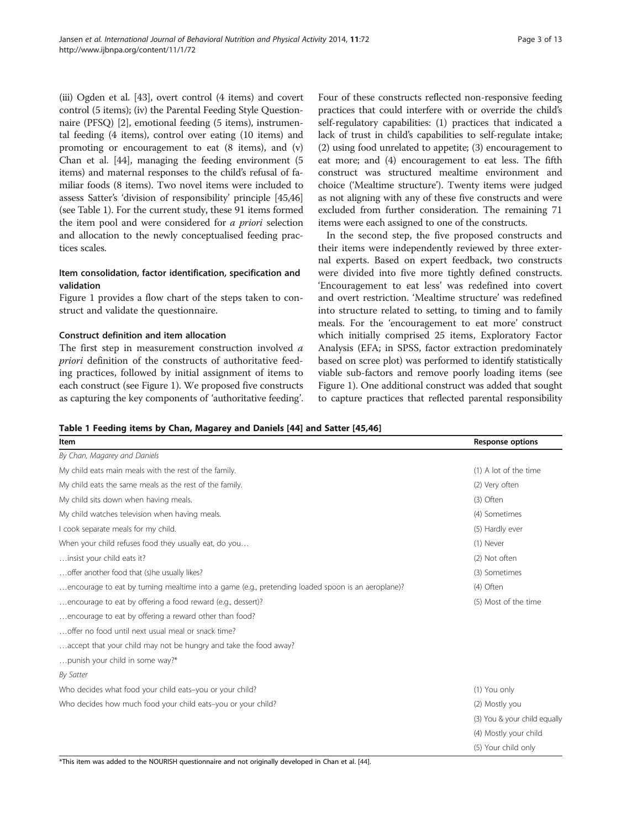(iii) Ogden et al. [\[43](#page-11-0)], overt control (4 items) and covert control (5 items); (iv) the Parental Feeding Style Questionnaire (PFSQ) [[2](#page-11-0)], emotional feeding (5 items), instrumental feeding (4 items), control over eating (10 items) and promoting or encouragement to eat (8 items), and (v) Chan et al. [[44](#page-11-0)], managing the feeding environment (5 items) and maternal responses to the child's refusal of familiar foods (8 items). Two novel items were included to assess Satter's 'division of responsibility' principle [\[45,46](#page-11-0)] (see Table 1). For the current study, these 91 items formed the item pool and were considered for a priori selection and allocation to the newly conceptualised feeding practices scales.

# Item consolidation, factor identification, specification and validation

Figure [1](#page-3-0) provides a flow chart of the steps taken to construct and validate the questionnaire.

# Construct definition and item allocation

The first step in measurement construction involved a priori definition of the constructs of authoritative feeding practices, followed by initial assignment of items to each construct (see Figure [1](#page-3-0)). We proposed five constructs as capturing the key components of 'authoritative feeding'.

Four of these constructs reflected non-responsive feeding practices that could interfere with or override the child's self-regulatory capabilities: (1) practices that indicated a lack of trust in child's capabilities to self-regulate intake; (2) using food unrelated to appetite; (3) encouragement to eat more; and (4) encouragement to eat less. The fifth construct was structured mealtime environment and choice ('Mealtime structure'). Twenty items were judged as not aligning with any of these five constructs and were excluded from further consideration. The remaining 71 items were each assigned to one of the constructs.

In the second step, the five proposed constructs and their items were independently reviewed by three external experts. Based on expert feedback, two constructs were divided into five more tightly defined constructs. 'Encouragement to eat less' was redefined into covert and overt restriction. 'Mealtime structure' was redefined into structure related to setting, to timing and to family meals. For the 'encouragement to eat more' construct which initially comprised 25 items, Exploratory Factor Analysis (EFA; in SPSS, factor extraction predominately based on scree plot) was performed to identify statistically viable sub-factors and remove poorly loading items (see Figure [1\)](#page-3-0). One additional construct was added that sought to capture practices that reflected parental responsibility

# Table 1 Feeding items by Chan, Magarey and Daniels [[44](#page-11-0)] and Satter [\[45](#page-11-0),[46\]](#page-11-0)

| Item                                                                                              | <b>Response options</b>      |
|---------------------------------------------------------------------------------------------------|------------------------------|
| By Chan, Magarey and Daniels                                                                      |                              |
| My child eats main meals with the rest of the family.                                             | (1) A lot of the time        |
| My child eats the same meals as the rest of the family.                                           | (2) Very often               |
| My child sits down when having meals.                                                             | (3) Often                    |
| My child watches television when having meals.                                                    | (4) Sometimes                |
| I cook separate meals for my child.                                                               | (5) Hardly ever              |
| When your child refuses food they usually eat, do you                                             | (1) Never                    |
| insist your child eats it?                                                                        | (2) Not often                |
| offer another food that (s)he usually likes?                                                      | (3) Sometimes                |
| encourage to eat by turning mealtime into a game (e.g., pretending loaded spoon is an aeroplane)? | (4) Often                    |
| encourage to eat by offering a food reward (e.g., dessert)?                                       | (5) Most of the time         |
| encourage to eat by offering a reward other than food?                                            |                              |
| offer no food until next usual meal or snack time?                                                |                              |
| accept that your child may not be hungry and take the food away?                                  |                              |
| punish your child in some way?*                                                                   |                              |
| <b>By Satter</b>                                                                                  |                              |
| Who decides what food your child eats-you or your child?                                          | (1) You only                 |
| Who decides how much food your child eats-you or your child?                                      | (2) Mostly you               |
|                                                                                                   | (3) You & your child equally |
|                                                                                                   | (4) Mostly your child        |
|                                                                                                   | (5) Your child only          |

\*This item was added to the NOURISH questionnaire and not originally developed in Chan et al. [[44](#page-11-0)].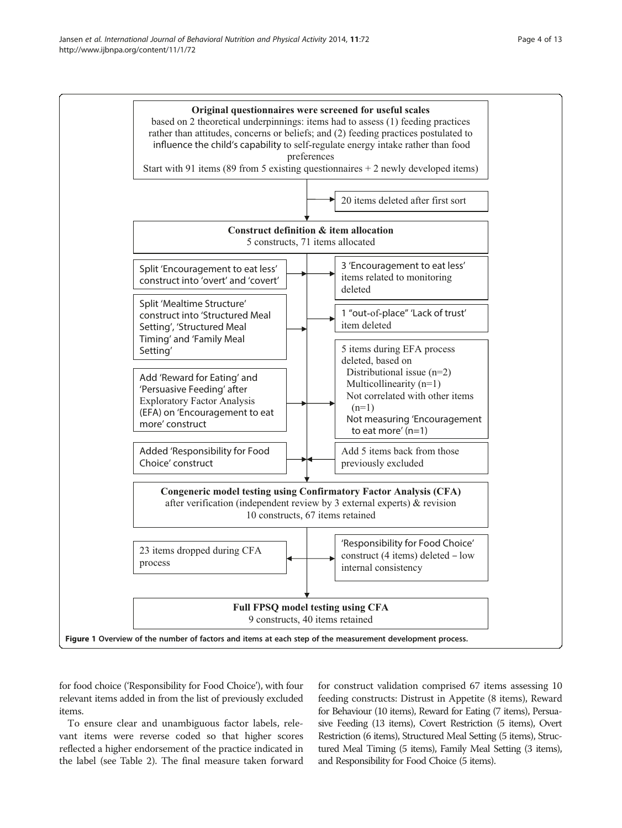<span id="page-3-0"></span>

for food choice ('Responsibility for Food Choice'), with four relevant items added in from the list of previously excluded items.

To ensure clear and unambiguous factor labels, relevant items were reverse coded so that higher scores reflected a higher endorsement of the practice indicated in the label (see Table [2](#page-5-0)). The final measure taken forward

for construct validation comprised 67 items assessing 10 feeding constructs: Distrust in Appetite (8 items), Reward for Behaviour (10 items), Reward for Eating (7 items), Persuasive Feeding (13 items), Covert Restriction (5 items), Overt Restriction (6 items), Structured Meal Setting (5 items), Structured Meal Timing (5 items), Family Meal Setting (3 items), and Responsibility for Food Choice (5 items).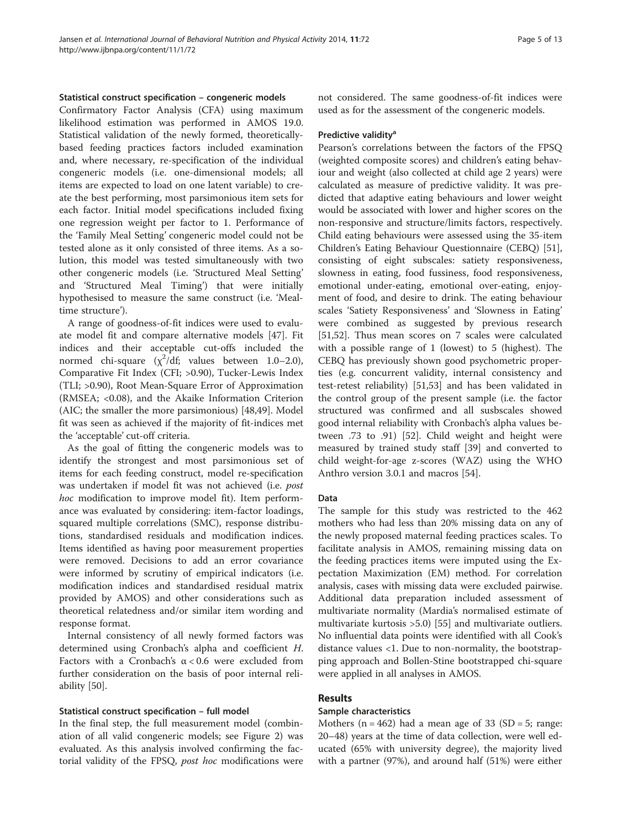#### Statistical construct specification – congeneric models

Confirmatory Factor Analysis (CFA) using maximum likelihood estimation was performed in AMOS 19.0. Statistical validation of the newly formed, theoreticallybased feeding practices factors included examination and, where necessary, re-specification of the individual congeneric models (i.e. one-dimensional models; all items are expected to load on one latent variable) to create the best performing, most parsimonious item sets for each factor. Initial model specifications included fixing one regression weight per factor to 1. Performance of the 'Family Meal Setting' congeneric model could not be tested alone as it only consisted of three items. As a solution, this model was tested simultaneously with two other congeneric models (i.e. 'Structured Meal Setting' and 'Structured Meal Timing') that were initially hypothesised to measure the same construct (i.e. 'Mealtime structure').

A range of goodness-of-fit indices were used to evaluate model fit and compare alternative models [\[47\]](#page-11-0). Fit indices and their acceptable cut-offs included the normed chi-square  $(\chi^2/df;$  values between 1.0–2.0), Comparative Fit Index (CFI; >0.90), Tucker-Lewis Index (TLI; >0.90), Root Mean-Square Error of Approximation (RMSEA; <0.08), and the Akaike Information Criterion (AIC; the smaller the more parsimonious) [\[48,49](#page-11-0)]. Model fit was seen as achieved if the majority of fit-indices met the 'acceptable' cut-off criteria.

As the goal of fitting the congeneric models was to identify the strongest and most parsimonious set of items for each feeding construct, model re-specification was undertaken if model fit was not achieved (i.e. post hoc modification to improve model fit). Item performance was evaluated by considering: item-factor loadings, squared multiple correlations (SMC), response distributions, standardised residuals and modification indices. Items identified as having poor measurement properties were removed. Decisions to add an error covariance were informed by scrutiny of empirical indicators (i.e. modification indices and standardised residual matrix provided by AMOS) and other considerations such as theoretical relatedness and/or similar item wording and response format.

Internal consistency of all newly formed factors was determined using Cronbach's alpha and coefficient H. Factors with a Cronbach's  $\alpha$  < 0.6 were excluded from further consideration on the basis of poor internal reliability [[50](#page-12-0)].

#### Statistical construct specification – full model

In the final step, the full measurement model (combination of all valid congeneric models; see Figure [2\)](#page-7-0) was evaluated. As this analysis involved confirming the factorial validity of the FPSQ, post hoc modifications were not considered. The same goodness-of-fit indices were used as for the assessment of the congeneric models.

#### Predictive validity<sup>a</sup>

Pearson's correlations between the factors of the FPSQ (weighted composite scores) and children's eating behaviour and weight (also collected at child age 2 years) were calculated as measure of predictive validity. It was predicted that adaptive eating behaviours and lower weight would be associated with lower and higher scores on the non-responsive and structure/limits factors, respectively. Child eating behaviours were assessed using the 35-item Children's Eating Behaviour Questionnaire (CEBQ) [\[51](#page-12-0)], consisting of eight subscales: satiety responsiveness, slowness in eating, food fussiness, food responsiveness, emotional under-eating, emotional over-eating, enjoyment of food, and desire to drink. The eating behaviour scales 'Satiety Responsiveness' and 'Slowness in Eating' were combined as suggested by previous research [[51,52\]](#page-12-0). Thus mean scores on 7 scales were calculated with a possible range of 1 (lowest) to 5 (highest). The CEBQ has previously shown good psychometric properties (e.g. concurrent validity, internal consistency and test-retest reliability) [[51](#page-12-0),[53](#page-12-0)] and has been validated in the control group of the present sample (i.e. the factor structured was confirmed and all susbscales showed good internal reliability with Cronbach's alpha values between .73 to .91) [\[52](#page-12-0)]. Child weight and height were measured by trained study staff [[39\]](#page-11-0) and converted to child weight-for-age z-scores (WAZ) using the WHO Anthro version 3.0.1 and macros [\[54](#page-12-0)].

#### Data

The sample for this study was restricted to the 462 mothers who had less than 20% missing data on any of the newly proposed maternal feeding practices scales. To facilitate analysis in AMOS, remaining missing data on the feeding practices items were imputed using the Expectation Maximization (EM) method. For correlation analysis, cases with missing data were excluded pairwise. Additional data preparation included assessment of multivariate normality (Mardia's normalised estimate of multivariate kurtosis >5.0) [\[55](#page-12-0)] and multivariate outliers. No influential data points were identified with all Cook's distance values <1. Due to non-normality, the bootstrapping approach and Bollen-Stine bootstrapped chi-square were applied in all analyses in AMOS.

#### Results

#### Sample characteristics

Mothers ( $n = 462$ ) had a mean age of 33 (SD = 5; range: 20–48) years at the time of data collection, were well educated (65% with university degree), the majority lived with a partner (97%), and around half (51%) were either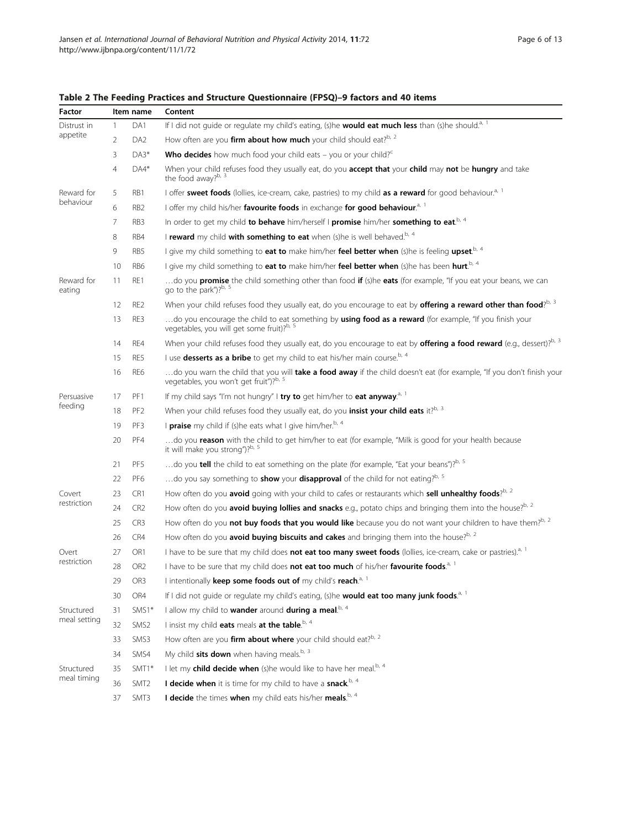| Factor               | Item name      |                  | Content                                                                                                                                                          |  |  |  |  |  |
|----------------------|----------------|------------------|------------------------------------------------------------------------------------------------------------------------------------------------------------------|--|--|--|--|--|
| Distrust in          | $\mathbf{1}$   | DA1              | If I did not guide or regulate my child's eating, (s)he would eat much less than (s)he should. <sup>a, 1</sup>                                                   |  |  |  |  |  |
| appetite             | $\overline{2}$ | DA <sub>2</sub>  | How often are you firm about how much your child should eat? <sup>b, 2</sup>                                                                                     |  |  |  |  |  |
|                      | 3              | $DA3*$           | Who decides how much food your child eats $-$ you or your child? $C$                                                                                             |  |  |  |  |  |
|                      | $\overline{4}$ | $DA4*$           | When your child refuses food they usually eat, do you accept that your child may not be hungry and take<br>the food away? $bb, 3$                                |  |  |  |  |  |
| Reward for           | 5              | RB1              | I offer sweet foods (Iollies, ice-cream, cake, pastries) to my child as a reward for good behaviour. <sup>a, 1</sup>                                             |  |  |  |  |  |
| behaviour            | 6              | RB <sub>2</sub>  | I offer my child his/her favourite foods in exchange for good behaviour. <sup>a, 1</sup>                                                                         |  |  |  |  |  |
|                      | 7              | RB <sub>3</sub>  | In order to get my child to behave him/herself I promise him/her something to eat. <sup>b, 4</sup>                                                               |  |  |  |  |  |
|                      | 8              | RB4              | I reward my child with something to eat when (s)he is well behaved. <sup>b, 4</sup>                                                                              |  |  |  |  |  |
|                      | 9              | RB5              | I give my child something to eat to make him/her feel better when (s)he is feeling upset. <sup>b, 4</sup>                                                        |  |  |  |  |  |
|                      | 10             | RB <sub>6</sub>  | I give my child something to eat to make him/her feel better when (s)he has been hurt. <sup>b, 4</sup>                                                           |  |  |  |  |  |
| Reward for<br>eating | 11             | RE1              | do you promise the child something other than food if (s)he eats (for example, "If you eat your beans, we can<br>go to the park")? <sup>b, 5</sup>               |  |  |  |  |  |
|                      | 12             | RE <sub>2</sub>  | When your child refuses food they usually eat, do you encourage to eat by <b>offering a reward other than food</b> ? <sup>b, 3</sup>                             |  |  |  |  |  |
|                      | 13             | RE3              | do you encourage the child to eat something by using food as a reward (for example, "If you finish your<br>vegetables, you will get some fruit)? <sup>b, 5</sup> |  |  |  |  |  |
|                      | 14             | RE4              | When your child refuses food they usually eat, do you encourage to eat by <b>offering a food reward</b> (e.g., dessert)? <sup>b, 3</sup>                         |  |  |  |  |  |
|                      | 15             | RE5              | I use desserts as a bribe to get my child to eat his/her main course. <sup>b, 4</sup>                                                                            |  |  |  |  |  |
|                      | 16             | RE <sub>6</sub>  | do you warn the child that you will take a food away if the child doesn't eat (for example, "If you don't finish your<br>vegetables, you won't get fruit")?b, 5  |  |  |  |  |  |
| Persuasive           | 17             | PF1              | If my child says "I'm not hungry" I try to get him/her to eat anyway. <sup>a, 1</sup>                                                                            |  |  |  |  |  |
| feeding              | 18             | PF <sub>2</sub>  | When your child refuses food they usually eat, do you <b>insist your child eats</b> it? <sup>b, 3</sup>                                                          |  |  |  |  |  |
|                      | 19             | PF3              | I <b>praise</b> my child if (s)he eats what I give him/her. <sup>b, 4</sup>                                                                                      |  |  |  |  |  |
|                      | 20             | PF4              | do you reason with the child to get him/her to eat (for example, "Milk is good for your health because<br>it will make you strong")?b, 5                         |  |  |  |  |  |
|                      | 21             | PF <sub>5</sub>  | do you tell the child to eat something on the plate (for example, "Eat your beans")?b, 5                                                                         |  |  |  |  |  |
|                      | 22             | PF <sub>6</sub>  | do you say something to <b>show</b> your <b>disapproval</b> of the child for not eating? <sup>b, 5</sup>                                                         |  |  |  |  |  |
| Covert               | 23             | CR1              | How often do you avoid going with your child to cafes or restaurants which sell unhealthy foods? <sup>b, 2</sup>                                                 |  |  |  |  |  |
| restriction          | 24             | CR <sub>2</sub>  | How often do you <b>avoid buying Iollies and snacks</b> e.g., potato chips and bringing them into the house? <sup>b, 2</sup>                                     |  |  |  |  |  |
|                      | 25             | CR <sub>3</sub>  | How often do you not buy foods that you would like because you do not want your children to have them? <sup>b, 2</sup>                                           |  |  |  |  |  |
|                      | 26             | CR4              | How often do you avoid buying biscuits and cakes and bringing them into the house? <sup>b, 2</sup>                                                               |  |  |  |  |  |
| Overt                | 27             | OR1              | I have to be sure that my child does <b>not eat too many sweet foods</b> (lollies, ice-cream, cake or pastries). <sup>a, 1</sup>                                 |  |  |  |  |  |
| restriction          | 28             | OR <sub>2</sub>  | I have to be sure that my child does <b>not eat too much</b> of his/her <b>favourite foods</b> . <sup>a, 1</sup>                                                 |  |  |  |  |  |
|                      | 29             | OR <sub>3</sub>  | I intentionally keep some foods out of my child's reach. <sup>a, 1</sup>                                                                                         |  |  |  |  |  |
|                      | 30             | OR4              | If I did not quide or regulate my child's eating, (s) he <b>would eat too many junk foods</b> . <sup>a, 1</sup>                                                  |  |  |  |  |  |
| Structured           | 31             | SMS1*            | I allow my child to wander around during a meal. <sup>b, 4</sup>                                                                                                 |  |  |  |  |  |
| meal setting         | 32             | SMS2             | I insist my child eats meals at the table. <sup>b, 4</sup>                                                                                                       |  |  |  |  |  |
|                      | 33             | SMS3             | How often are you firm about where your child should eat?b, 2                                                                                                    |  |  |  |  |  |
|                      | 34             | SMS4             | My child sits down when having meals. <sup>b, 3</sup>                                                                                                            |  |  |  |  |  |
| Structured           | 35             | SMT1*            | I let my <b>child decide when</b> (s) he would like to have her meal. <sup>b, 4</sup>                                                                            |  |  |  |  |  |
| meal timing          | 36             | SMT <sub>2</sub> | I decide when it is time for my child to have a snack. <sup>b, 4</sup>                                                                                           |  |  |  |  |  |
|                      | 37             | SMT3             | I decide the times when my child eats his/her meals. <sup>b, 4</sup>                                                                                             |  |  |  |  |  |

<span id="page-5-0"></span>

| Table 2 The Feeding Practices and Structure Questionnaire (FPSQ)–9 factors and 40 items |  |  |
|-----------------------------------------------------------------------------------------|--|--|
|-----------------------------------------------------------------------------------------|--|--|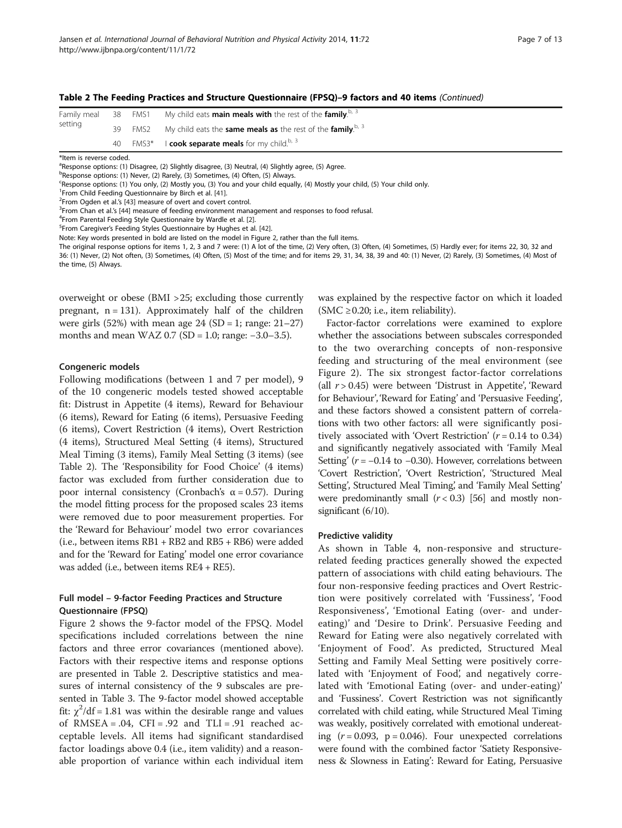|         |  | Family meal 38 FMS1 My child eats <b>main meals with</b> the rest of the <b>family.</b> <sup>b, 3</sup> |
|---------|--|---------------------------------------------------------------------------------------------------------|
| setting |  | 39 FMS2 My child eats the <b>same meals as</b> the rest of the <b>family.</b> <sup>b, 3</sup>           |
|         |  | 40 FMS3* <b>cook separate meals</b> for my child. <sup>b, 3</sup>                                       |

Table 2 The Feeding Practices and Structure Questionnaire (FPSQ)–9 factors and 40 items (Continued)

\*Item is reverse coded.

<sup>a</sup>Response options: (1) Disagree, (2) Slightly disagree, (3) Neutral, (4) Slightly agree, (5) Agree.

<sup>b</sup>Response options: (1) Never, (2) Rarely, (3) Sometimes, (4) Often, (5) Always.

<sup>1</sup> From Child Feeding Questionnaire by Birch et al. [\[41](#page-11-0)].<br><sup>2</sup> From Ogden et al.'s [43] measure of overt and covert

<sup>3</sup>From Chan et al.'s [[44](#page-11-0)] measure of feeding environment management and responses to food refusal.

<sup>4</sup> From Parental Feeding Style Questionnaire by Wardle et al. [\[2\]](#page-11-0).

Note: Key words presented in bold are listed on the model in Figure [2,](#page-7-0) rather than the full items.

The original response options for items 1, 2, 3 and 7 were: (1) A lot of the time, (2) Very often, (3) Often, (4) Sometimes, (5) Hardly ever; for items 22, 30, 32 and 36: (1) Never, (2) Not often, (3) Sometimes, (4) Often, (5) Most of the time; and for items 29, 31, 34, 38, 39 and 40: (1) Never, (2) Rarely, (3) Sometimes, (4) Most of the time, (5) Always.

overweight or obese (BMI >25; excluding those currently pregnant,  $n = 131$ ). Approximately half of the children were girls  $(52%)$  with mean age 24  $(SD = 1; \text{ range}: 21-27)$ months and mean WAZ 0.7 (SD = 1.0; range: −3.0–3.5).

#### Congeneric models

Following modifications (between 1 and 7 per model), 9 of the 10 congeneric models tested showed acceptable fit: Distrust in Appetite (4 items), Reward for Behaviour (6 items), Reward for Eating (6 items), Persuasive Feeding (6 items), Covert Restriction (4 items), Overt Restriction (4 items), Structured Meal Setting (4 items), Structured Meal Timing (3 items), Family Meal Setting (3 items) (see Table [2\)](#page-5-0). The 'Responsibility for Food Choice' (4 items) factor was excluded from further consideration due to poor internal consistency (Cronbach's α = 0.57). During the model fitting process for the proposed scales 23 items were removed due to poor measurement properties. For the 'Reward for Behaviour' model two error covariances (i.e., between items RB1 + RB2 and RB5 + RB6) were added and for the 'Reward for Eating' model one error covariance was added (i.e., between items RE4 + RE5).

# Full model – 9-factor Feeding Practices and Structure Questionnaire (FPSQ)

Figure [2](#page-7-0) shows the 9-factor model of the FPSQ. Model specifications included correlations between the nine factors and three error covariances (mentioned above). Factors with their respective items and response options are presented in Table [2](#page-5-0). Descriptive statistics and measures of internal consistency of the 9 subscales are presented in Table [3](#page-8-0). The 9-factor model showed acceptable fit:  $\chi^2$ /df = 1.81 was within the desirable range and values of  $RMSEA = .04$ ,  $CFI = .92$  and  $TLI = .91$  reached acceptable levels. All items had significant standardised factor loadings above 0.4 (i.e., item validity) and a reasonable proportion of variance within each individual item

was explained by the respective factor on which it loaded  $(SMC \geq 0.20; i.e., item reliability).$ 

Factor-factor correlations were examined to explore whether the associations between subscales corresponded to the two overarching concepts of non-responsive feeding and structuring of the meal environment (see Figure [2\)](#page-7-0). The six strongest factor-factor correlations (all  $r > 0.45$ ) were between 'Distrust in Appetite', 'Reward for Behaviour', 'Reward for Eating' and 'Persuasive Feeding', and these factors showed a consistent pattern of correlations with two other factors: all were significantly positively associated with 'Overt Restriction'  $(r = 0.14$  to 0.34) and significantly negatively associated with 'Family Meal Setting'  $(r = -0.14 \text{ to } -0.30)$ . However, correlations between 'Covert Restriction', 'Overt Restriction', 'Structured Meal Setting', Structured Meal Timing, and 'Family Meal Setting' were predominantly small  $(r < 0.3)$  [\[56](#page-12-0)] and mostly nonsignificant (6/10).

#### Predictive validity

As shown in Table [4,](#page-8-0) non-responsive and structurerelated feeding practices generally showed the expected pattern of associations with child eating behaviours. The four non-responsive feeding practices and Overt Restriction were positively correlated with 'Fussiness', 'Food Responsiveness', 'Emotional Eating (over- and undereating)' and 'Desire to Drink'. Persuasive Feeding and Reward for Eating were also negatively correlated with 'Enjoyment of Food'. As predicted, Structured Meal Setting and Family Meal Setting were positively correlated with 'Enjoyment of Food', and negatively correlated with 'Emotional Eating (over- and under-eating)' and 'Fussiness'. Covert Restriction was not significantly correlated with child eating, while Structured Meal Timing was weakly, positively correlated with emotional undereating  $(r = 0.093, p = 0.046)$ . Four unexpected correlations were found with the combined factor 'Satiety Responsiveness & Slowness in Eating': Reward for Eating, Persuasive

FResponse options: (1) You only, (2) Mostly you, (3) You and your child equally, (4) Mostly your child, (5) Your child only.

 $2$ From Ogden et al.'s [[43](#page-11-0)] measure of overt and covert control.

<sup>&</sup>lt;sup>5</sup> From Caregiver's Feeding Styles Questionnaire by Hughes et al. [\[42](#page-11-0)].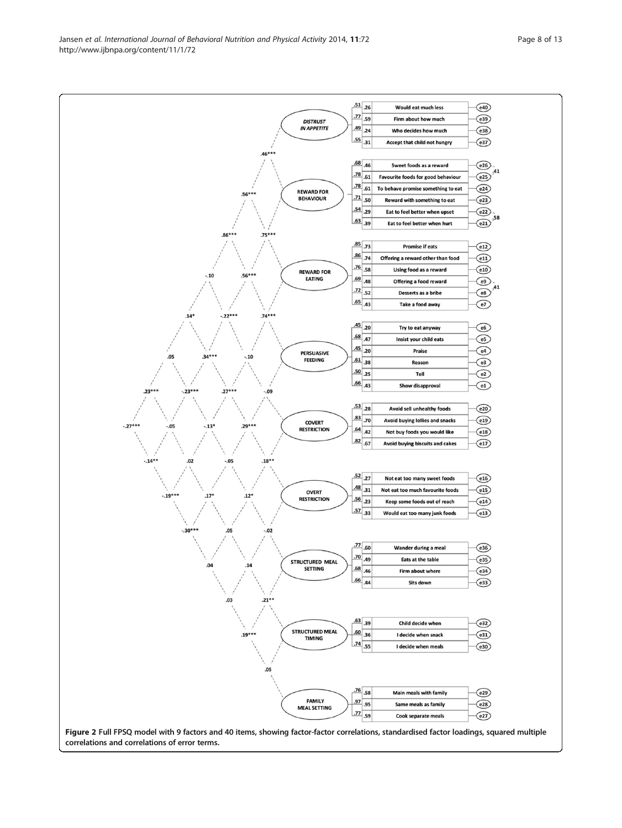<span id="page-7-0"></span>Jansen et al. International Journal of Behavioral Nutrition and Physical Activity 2014, 11:72 Page 8 of 13 http://www.ijbnpa.org/content/11/1/72

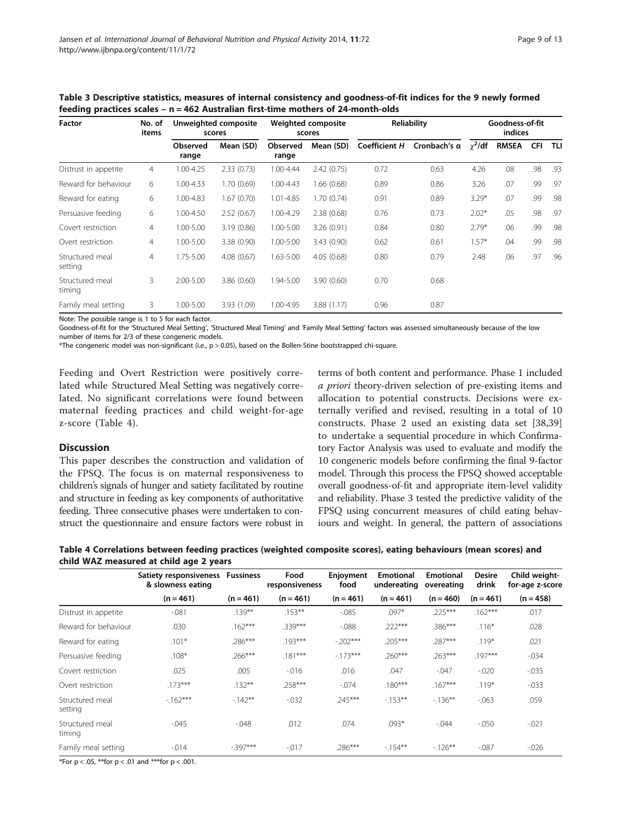| <b>Factor</b>              | No. of<br>items | Unweighted composite<br>scores |             | Weighted composite<br>scores |             | <b>Reliability</b> |              | Goodness-of-fit<br>indices |              |            |     |
|----------------------------|-----------------|--------------------------------|-------------|------------------------------|-------------|--------------------|--------------|----------------------------|--------------|------------|-----|
|                            |                 | <b>Observed</b><br>range       | Mean (SD)   | <b>Observed</b><br>range     | Mean (SD)   | Coefficient H      | Cronbach's a | $\chi^2$ /df               | <b>RMSEA</b> | <b>CFI</b> | TLI |
| Distrust in appetite       | 4               | 1.00-4.25                      | 2.33(0.73)  | 1.00-4.44                    | 2.42(0.75)  | 0.72               | 0.63         | 4.26                       | .08          | .98        | .93 |
| Reward for behaviour       | 6               | 1.00-4.33                      | 1.70 (0.69) | 1.00-4.43                    | 1.66(0.68)  | 0.89               | 0.86         | 3.26                       | .07          | .99        | .97 |
| Reward for eating          | 6               | 1.00-4.83                      | 1.67(0.70)  | 1.01-4.85                    | 1.70 (0.74) | 0.91               | 0.89         | $3.29*$                    | .07          | .99        | .98 |
| Persuasive feeding         | 6               | 1.00-4.50                      | 2.52(0.67)  | 1.00-4.29                    | 2.38(0.68)  | 0.76               | 0.73         | $2.02*$                    | .05          | .98        | .97 |
| Covert restriction         | 4               | 1.00-5.00                      | 3.19(0.86)  | 1.00-5.00                    | 3.26(0.91)  | 0.84               | 0.80         | $2.79*$                    | .06          | .99        | .98 |
| Overt restriction          | 4               | 1.00-5.00                      | 3.38(0.90)  | 1.00-5.00                    | 3.43(0.90)  | 0.62               | 0.61         | $1.57*$                    | .04          | .99        | .98 |
| Structured meal<br>setting | 4               | 1.75-5.00                      | 4.08(0.67)  | 1.63-5.00                    | 4.05(0.68)  | 0.80               | 0.79         | 2.48                       | .06          | .97        | .96 |
| Structured meal<br>timing  | 3               | 2.00-5.00                      | 3.86 (0.60) | 1.94-5.00                    | 3.90(0.60)  | 0.70               | 0.68         |                            |              |            |     |
| Family meal setting        | 3               | 1.00-5.00                      | 3.93 (1.09) | 1.00-4.95                    | 3.88(1.17)  | 0.96               | 0.87         |                            |              |            |     |

<span id="page-8-0"></span>Table 3 Descriptive statistics, measures of internal consistency and goodness-of-fit indices for the 9 newly formed feeding practices scales – n = 462 Australian first-time mothers of 24-month-olds

Note: The possible range is 1 to 5 for each factor.

Goodness-of-fit for the 'Structured Meal Setting', 'Structured Meal Timing' and 'Family Meal Setting' factors was assessed simultaneously because of the low number of items for 2/3 of these congeneric models.

\*The congeneric model was non-significant (i.e., p > 0.05), based on the Bollen-Stine bootstrapped chi-square.

Feeding and Overt Restriction were positively correlated while Structured Meal Setting was negatively correlated. No significant correlations were found between maternal feeding practices and child weight-for-age z-score (Table 4).

# **Discussion**

This paper describes the construction and validation of the FPSQ. The focus is on maternal responsiveness to children's signals of hunger and satiety facilitated by routine and structure in feeding as key components of authoritative feeding. Three consecutive phases were undertaken to construct the questionnaire and ensure factors were robust in

terms of both content and performance. Phase 1 included a priori theory-driven selection of pre-existing items and allocation to potential constructs. Decisions were externally verified and revised, resulting in a total of 10 constructs. Phase 2 used an existing data set [\[38,39](#page-11-0)] to undertake a sequential procedure in which Confirmatory Factor Analysis was used to evaluate and modify the 10 congeneric models before confirming the final 9-factor model. Through this process the FPSQ showed acceptable overall goodness-of-fit and appropriate item-level validity and reliability. Phase 3 tested the predictive validity of the FPSQ using concurrent measures of child eating behaviours and weight. In general, the pattern of associations

Table 4 Correlations between feeding practices (weighted composite scores), eating behaviours (mean scores) and child WAZ measured at child age 2 years

|                            | Satiety responsiveness<br>& slowness eating | <b>Fussiness</b> | Food<br>responsiveness | Enjoyment<br>food | <b>Emotional</b><br>undereating | <b>Emotional</b><br>overeating | <b>Desire</b><br>drink | Child weight-<br>for-age z-score |
|----------------------------|---------------------------------------------|------------------|------------------------|-------------------|---------------------------------|--------------------------------|------------------------|----------------------------------|
|                            | $(n = 461)$                                 | $(n = 461)$      | $(n = 461)$            | $(n = 461)$       | $(n = 461)$                     | $(n = 460)$                    | $(n = 461)$            | $(n = 458)$                      |
| Distrust in appetite       | $-081$                                      | $.139***$        | $.153***$              | $-0.085$          | $.097*$                         | $.225***$                      | $.162***$              | .017                             |
| Reward for behaviour       | .030                                        | $.162***$        | .339***                | $-088$            | $.222***$                       | .386***                        | $.116*$                | .028                             |
| Reward for eating          | $.101*$                                     | .286***          | .193***                | $-.202***$        | $.205***$                       | .287***                        | $.119*$                | .021                             |
| Persuasive feeding         | $.108*$                                     | $.266***$        | $.181***$              | $-173***$         | $.260***$                       | $.263***$                      | $.197***$              | $-0.034$                         |
| Covert restriction         | .025                                        | .005             | $-0.016$               | .016              | .047                            | $-.047$                        | $-0.020$               | $-0.035$                         |
| Overt restriction          | $.173***$                                   | $.132***$        | .258***                | $-0.074$          | $.180***$                       | $.167***$                      | $.119*$                | $-0.033$                         |
| Structured meal<br>setting | $-162***$                                   | $-142**$         | $-0.032$               | $.245***$         | $-153**$                        | $-136***$                      | $-063$                 | .059                             |
| Structured meal<br>timing  | $-0.045$                                    | $-0.048$         | .012                   | .074              | $.093*$                         | $-0.044$                       | $-050$                 | $-0.021$                         |
| Family meal setting        | $-0.014$                                    | $-397***$        | $-0.017$               | .286***           | $-154***$                       | $-126***$                      | $-0.087$               | $-0.026$                         |

\*For  $p < .05$ , \*\*for  $p < .01$  and \*\*\*for  $p < .001$ .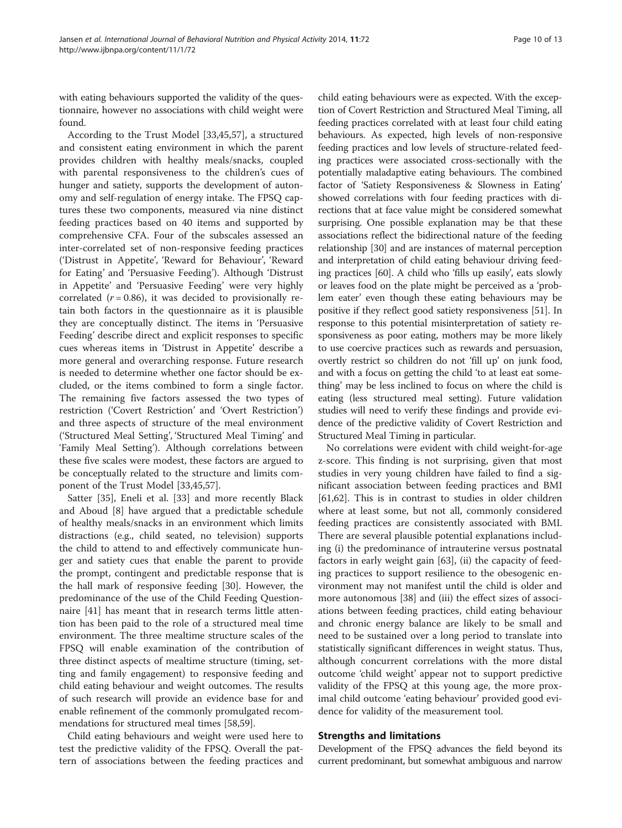with eating behaviours supported the validity of the questionnaire, however no associations with child weight were found.

According to the Trust Model [[33](#page-11-0),[45](#page-11-0),[57](#page-12-0)], a structured and consistent eating environment in which the parent provides children with healthy meals/snacks, coupled with parental responsiveness to the children's cues of hunger and satiety, supports the development of autonomy and self-regulation of energy intake. The FPSQ captures these two components, measured via nine distinct feeding practices based on 40 items and supported by comprehensive CFA. Four of the subscales assessed an inter-correlated set of non-responsive feeding practices ('Distrust in Appetite', 'Reward for Behaviour', 'Reward for Eating' and 'Persuasive Feeding'). Although 'Distrust in Appetite' and 'Persuasive Feeding' were very highly correlated  $(r = 0.86)$ , it was decided to provisionally retain both factors in the questionnaire as it is plausible they are conceptually distinct. The items in 'Persuasive Feeding' describe direct and explicit responses to specific cues whereas items in 'Distrust in Appetite' describe a more general and overarching response. Future research is needed to determine whether one factor should be excluded, or the items combined to form a single factor. The remaining five factors assessed the two types of restriction ('Covert Restriction' and 'Overt Restriction') and three aspects of structure of the meal environment ('Structured Meal Setting', 'Structured Meal Timing' and 'Family Meal Setting'). Although correlations between these five scales were modest, these factors are argued to be conceptually related to the structure and limits component of the Trust Model [[33,45](#page-11-0)[,57](#page-12-0)].

Satter [\[35\]](#page-11-0), Eneli et al. [[33\]](#page-11-0) and more recently Black and Aboud [[8\]](#page-11-0) have argued that a predictable schedule of healthy meals/snacks in an environment which limits distractions (e.g., child seated, no television) supports the child to attend to and effectively communicate hunger and satiety cues that enable the parent to provide the prompt, contingent and predictable response that is the hall mark of responsive feeding [[30](#page-11-0)]. However, the predominance of the use of the Child Feeding Questionnaire [\[41\]](#page-11-0) has meant that in research terms little attention has been paid to the role of a structured meal time environment. The three mealtime structure scales of the FPSQ will enable examination of the contribution of three distinct aspects of mealtime structure (timing, setting and family engagement) to responsive feeding and child eating behaviour and weight outcomes. The results of such research will provide an evidence base for and enable refinement of the commonly promulgated recommendations for structured meal times [[58](#page-12-0),[59](#page-12-0)].

Child eating behaviours and weight were used here to test the predictive validity of the FPSQ. Overall the pattern of associations between the feeding practices and

child eating behaviours were as expected. With the exception of Covert Restriction and Structured Meal Timing, all feeding practices correlated with at least four child eating behaviours. As expected, high levels of non-responsive feeding practices and low levels of structure-related feeding practices were associated cross-sectionally with the potentially maladaptive eating behaviours. The combined factor of 'Satiety Responsiveness & Slowness in Eating' showed correlations with four feeding practices with directions that at face value might be considered somewhat surprising. One possible explanation may be that these associations reflect the bidirectional nature of the feeding relationship [\[30\]](#page-11-0) and are instances of maternal perception and interpretation of child eating behaviour driving feeding practices [\[60\]](#page-12-0). A child who 'fills up easily', eats slowly or leaves food on the plate might be perceived as a 'problem eater' even though these eating behaviours may be positive if they reflect good satiety responsiveness [\[51\]](#page-12-0). In response to this potential misinterpretation of satiety responsiveness as poor eating, mothers may be more likely to use coercive practices such as rewards and persuasion, overtly restrict so children do not 'fill up' on junk food, and with a focus on getting the child 'to at least eat something' may be less inclined to focus on where the child is eating (less structured meal setting). Future validation studies will need to verify these findings and provide evidence of the predictive validity of Covert Restriction and Structured Meal Timing in particular.

No correlations were evident with child weight-for-age z-score. This finding is not surprising, given that most studies in very young children have failed to find a significant association between feeding practices and BMI [[61,62\]](#page-12-0). This is in contrast to studies in older children where at least some, but not all, commonly considered feeding practices are consistently associated with BMI. There are several plausible potential explanations including (i) the predominance of intrauterine versus postnatal factors in early weight gain [\[63\]](#page-12-0), (ii) the capacity of feeding practices to support resilience to the obesogenic environment may not manifest until the child is older and more autonomous [\[38\]](#page-11-0) and (iii) the effect sizes of associations between feeding practices, child eating behaviour and chronic energy balance are likely to be small and need to be sustained over a long period to translate into statistically significant differences in weight status. Thus, although concurrent correlations with the more distal outcome 'child weight' appear not to support predictive validity of the FPSQ at this young age, the more proximal child outcome 'eating behaviour' provided good evidence for validity of the measurement tool.

#### Strengths and limitations

Development of the FPSQ advances the field beyond its current predominant, but somewhat ambiguous and narrow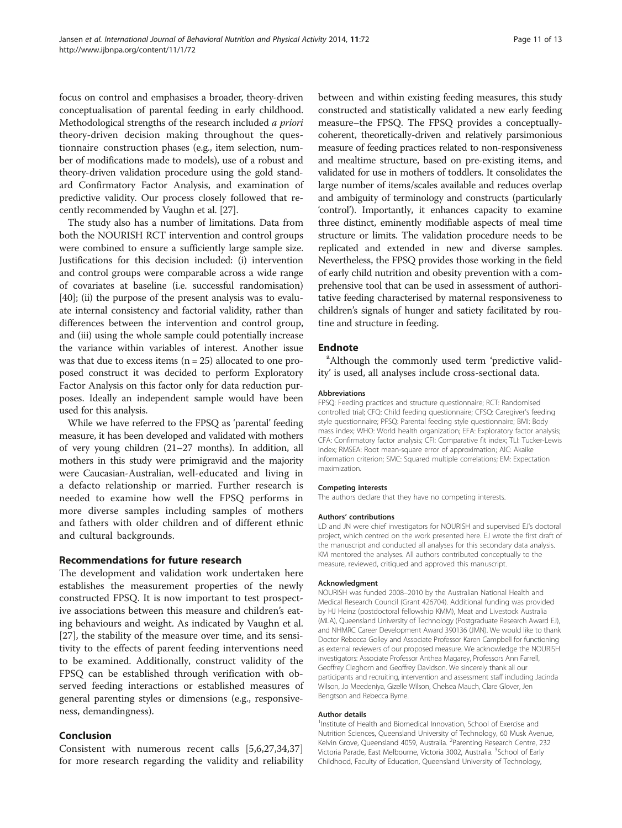focus on control and emphasises a broader, theory-driven conceptualisation of parental feeding in early childhood. Methodological strengths of the research included a priori theory-driven decision making throughout the questionnaire construction phases (e.g., item selection, number of modifications made to models), use of a robust and theory-driven validation procedure using the gold standard Confirmatory Factor Analysis, and examination of predictive validity. Our process closely followed that recently recommended by Vaughn et al. [\[27](#page-11-0)].

The study also has a number of limitations. Data from both the NOURISH RCT intervention and control groups were combined to ensure a sufficiently large sample size. Justifications for this decision included: (i) intervention and control groups were comparable across a wide range of covariates at baseline (i.e. successful randomisation) [[40](#page-11-0)]; (ii) the purpose of the present analysis was to evaluate internal consistency and factorial validity, rather than differences between the intervention and control group, and (iii) using the whole sample could potentially increase the variance within variables of interest. Another issue was that due to excess items  $(n = 25)$  allocated to one proposed construct it was decided to perform Exploratory Factor Analysis on this factor only for data reduction purposes. Ideally an independent sample would have been used for this analysis.

While we have referred to the FPSQ as 'parental' feeding measure, it has been developed and validated with mothers of very young children (21–27 months). In addition, all mothers in this study were primigravid and the majority were Caucasian-Australian, well-educated and living in a defacto relationship or married. Further research is needed to examine how well the FPSQ performs in more diverse samples including samples of mothers and fathers with older children and of different ethnic and cultural backgrounds.

#### Recommendations for future research

The development and validation work undertaken here establishes the measurement properties of the newly constructed FPSQ. It is now important to test prospective associations between this measure and children's eating behaviours and weight. As indicated by Vaughn et al. [[27\]](#page-11-0), the stability of the measure over time, and its sensitivity to the effects of parent feeding interventions need to be examined. Additionally, construct validity of the FPSQ can be established through verification with observed feeding interactions or established measures of general parenting styles or dimensions (e.g., responsiveness, demandingness).

# Conclusion

Consistent with numerous recent calls [\[5](#page-11-0),[6,27,34,37](#page-11-0)] for more research regarding the validity and reliability between and within existing feeding measures, this study constructed and statistically validated a new early feeding measure–the FPSQ. The FPSQ provides a conceptuallycoherent, theoretically-driven and relatively parsimonious measure of feeding practices related to non-responsiveness and mealtime structure, based on pre-existing items, and validated for use in mothers of toddlers. It consolidates the large number of items/scales available and reduces overlap and ambiguity of terminology and constructs (particularly 'control'). Importantly, it enhances capacity to examine three distinct, eminently modifiable aspects of meal time structure or limits. The validation procedure needs to be replicated and extended in new and diverse samples. Nevertheless, the FPSQ provides those working in the field of early child nutrition and obesity prevention with a comprehensive tool that can be used in assessment of authoritative feeding characterised by maternal responsiveness to children's signals of hunger and satiety facilitated by routine and structure in feeding.

# **Endnote**

<sup>a</sup> Although the commonly used term 'predictive validity' is used, all analyses include cross-sectional data.

#### Abbreviations

FPSQ: Feeding practices and structure questionnaire; RCT: Randomised controlled trial; CFQ: Child feeding questionnaire; CFSQ: Caregiver's feeding style questionnaire; PFSQ: Parental feeding style questionnaire; BMI: Body mass index; WHO: World health organization; EFA: Exploratory factor analysis; CFA: Confirmatory factor analysis; CFI: Comparative fit index; TLI: Tucker-Lewis index; RMSEA: Root mean-square error of approximation; AIC: Akaike information criterion; SMC: Squared multiple correlations; EM: Expectation maximization.

#### Competing interests

The authors declare that they have no competing interests.

#### Authors' contributions

LD and JN were chief investigators for NOURISH and supervised EJ's doctoral project, which centred on the work presented here. EJ wrote the first draft of the manuscript and conducted all analyses for this secondary data analysis. KM mentored the analyses. All authors contributed conceptually to the measure, reviewed, critiqued and approved this manuscript.

#### Acknowledgment

NOURISH was funded 2008–2010 by the Australian National Health and Medical Research Council (Grant 426704). Additional funding was provided by HJ Heinz (postdoctoral fellowship KMM), Meat and Livestock Australia (MLA), Queensland University of Technology (Postgraduate Research Award EJ), and NHMRC Career Development Award 390136 (JMN). We would like to thank Doctor Rebecca Golley and Associate Professor Karen Campbell for functioning as external reviewers of our proposed measure. We acknowledge the NOURISH investigators: Associate Professor Anthea Magarey, Professors Ann Farrell, Geoffrey Cleghorn and Geoffrey Davidson. We sincerely thank all our participants and recruiting, intervention and assessment staff including Jacinda Wilson, Jo Meedeniya, Gizelle Wilson, Chelsea Mauch, Clare Glover, Jen Bengtson and Rebecca Byrne.

#### Author details

<sup>1</sup>Institute of Health and Biomedical Innovation, School of Exercise and Nutrition Sciences, Queensland University of Technology, 60 Musk Avenue, Kelvin Grove, Queensland 4059, Australia. <sup>2</sup>Parenting Research Centre, 232 Victoria Parade, East Melbourne, Victoria 3002, Australia. <sup>3</sup>School of Early Childhood, Faculty of Education, Queensland University of Technology,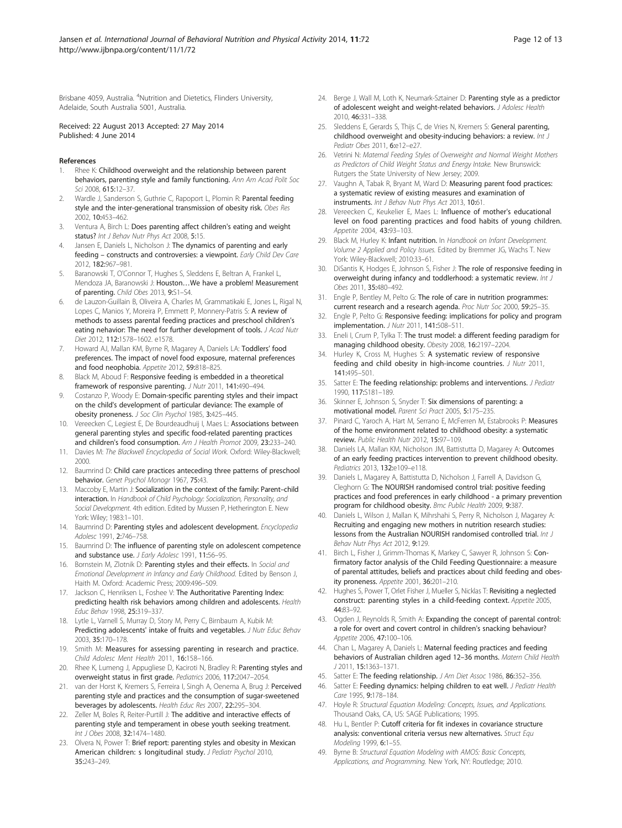<span id="page-11-0"></span>Brisbane 4059, Australia. <sup>4</sup>Nutrition and Dietetics, Flinders University, Adelaide, South Australia 5001, Australia.

Received: 22 August 2013 Accepted: 27 May 2014 Published: 4 June 2014

#### References

- Rhee K: Childhood overweight and the relationship between parent behaviors, parenting style and family functioning. Ann Am Acad Polit Soc Sci 2008, 615:12–37.
- Wardle J, Sanderson S, Guthrie C, Rapoport L, Plomin R: Parental feeding style and the inter-generational transmission of obesity risk. Obes Res 2002, 10:453–462.
- Ventura A, Birch L: Does parenting affect children's eating and weight status? Int J Behav Nutr Phys Act 2008, 5:15.
- 4. Jansen E, Daniels L, Nicholson J: The dynamics of parenting and early feeding – constructs and controversies: a viewpoint. Early Child Dev Care 2012, 182:967–981.
- 5. Baranowski T, O'Connor T, Hughes S, Sleddens E, Beltran A, Frankel L, Mendoza JA, Baranowski J: Houston…We have a problem! Measurement of parenting. Child Obes 2013, 9:S1–S4.
- 6. de Lauzon-Guillain B, Oliveira A, Charles M, Grammatikaki E, Jones L, Rigal N, Lopes C, Manios Y, Moreira P, Emmett P, Monnery-Patris S: A review of methods to assess parental feeding practices and preschool children's eating nehavior: The need for further development of tools. J Acad Nutr Diet 2012, 112:1578–1602. e1578.
- 7. Howard AJ, Mallan KM, Byrne R, Magarey A, Daniels LA: Toddlers' food preferences. The impact of novel food exposure, maternal preferences and food neophobia. Appetite 2012, 59:818–825.
- 8. Black M, Aboud F: Responsive feeding is embedded in a theoretical framework of responsive parenting. J Nutr 2011, 141:490-494.
- 9. Costanzo P, Woody E: Domain-specific parenting styles and their impact on the child's development of particular deviance: The example of obesity proneness. J Soc Clin Psychol 1985, 3:425–445.
- 10. Vereecken C, Legiest E, De Bourdeaudhuij I, Maes L: Associations between general parenting styles and specific food-related parenting practices and children's food consumption. Am J Health Promot 2009, 23:233-240.
- 11. Davies M: The Blackwell Encyclopedia of Social Work. Oxford: Wiley-Blackwell; 2000.
- 12. Baumrind D: Child care practices anteceding three patterns of preschool behavior. Genet Psychol Monogr 1967, 75:43.
- 13. Maccoby E, Martin J: Socialization in the context of the family: Parent-child interaction. In Handbook of Child Psychology: Socialization, Personality, and Social Development. 4th edition. Edited by Mussen P, Hetherington E. New York: Wiley; 1983:1–101.
- 14. Baumrind D: Parenting styles and adolescent development. Encyclopedia Adolesc 1991, 2:746–758.
- 15. Baumrind D: The influence of parenting style on adolescent competence and substance use. J Early Adolesc 1991, 11:56-95.
- 16. Bornstein M, Zlotnik D: Parenting styles and their effects. In Social and Emotional Development in Infancy and Early Childhood. Edited by Benson J, Haith M. Oxford: Academic Press; 2009:496–509.
- 17. Jackson C, Henriksen L, Foshee V: The Authoritative Parenting Index: predicting health risk behaviors among children and adolescents. Health Educ Behav 1998, 25:319–337.
- 18. Lytle L, Varnell S, Murray D, Story M, Perry C, Birnbaum A, Kubik M: Predicting adolescents' intake of fruits and vegetables. J Nutr Educ Behav 2003, 35:170–178.
- 19. Smith M: Measures for assessing parenting in research and practice. Child Adolesc Ment Health 2011, 16:158–166.
- 20. Rhee K, Lumeng J, Appugliese D, Kaciroti N, Bradley R: Parenting styles and overweight status in first grade. Pediatrics 2006, 117:2047–2054.
- 21. van der Horst K, Kremers S, Ferreira I, Singh A, Oenema A, Brug J: Perceived parenting style and practices and the consumption of sugar-sweetened beverages by adolescents. Health Educ Res 2007, 22:295–304.
- 22. Zeller M, Boles R, Reiter-Purtill J: The additive and interactive effects of parenting style and temperament in obese youth seeking treatment. Int J Obes 2008, 32:1474–1480.
- 23. Olvera N, Power T: Brief report: parenting styles and obesity in Mexican American children: s longitudinal study. J Pediatr Psychol 2010, 35:243–249.
- 24. Berge J, Wall M, Loth K, Neumark-Sztainer D: Parenting style as a predictor of adolescent weight and weight-related behaviors. J Adolesc Health 2010, 46:331–338.
- 25. Sleddens E, Gerards S, Thijs C, de Vries N, Kremers S; General parenting, childhood overweight and obesity-inducing behaviors: a review. Int J Pediatr Obes 2011, 6:e12–e27.
- 26. Vetrini N: Maternal Feeding Styles of Overweight and Normal Weight Mothers as Predictors of Child Weight Status and Energy Intake. New Brunswick: Rutgers the State University of New Jersey; 2009.
- 27. Vaughn A, Tabak R, Bryant M, Ward D: Measuring parent food practices: a systematic review of existing measures and examination of instruments. Int J Behav Nutr Phys Act 2013, 10:61.
- 28. Vereecken C, Keukelier E, Maes L: Influence of mother's educational level on food parenting practices and food habits of young children. Appetite 2004, 43:93-103.
- 29. Black M, Hurley K: Infant nutrition. In Handbook on Infant Development. Volume 2 Applied and Policy Issues. Edited by Bremmer JG, Wachs T. New York: Wiley-Blackwell; 2010:33–61.
- 30. DiSantis K, Hodges E, Johnson S, Fisher J: The role of responsive feeding in overweight during infancy and toddlerhood: a systematic review. Int J Obes 2011, 35:480–492.
- 31. Engle P, Bentley M, Pelto G: The role of care in nutrition programmes: current research and a research agenda. Proc Nutr Soc 2000, 59:25-35.
- 32. Engle P, Pelto G: Responsive feeding: implications for policy and program implementation. J Nutr 2011, 141:508–511.
- 33. Eneli I, Crum P, Tylka T: The trust model: a different feeding paradigm for managing childhood obesity. Obesity 2008, 16:2197–2204.
- 34. Hurley K, Cross M, Hughes S: A systematic review of responsive feeding and child obesity in high-income countries. J Nutr 2011, 141:495–501.
- 35. Satter E: The feeding relationship: problems and interventions. J Pediatr 1990, 117:S181–189.
- 36. Skinner E, Johnson S, Snyder T: Six dimensions of parenting: a motivational model. Parent Sci Pract 2005, 5:175–235.
- 37. Pinard C, Yaroch A, Hart M, Serrano E, McFerren M, Estabrooks P: Measures of the home environment related to childhood obesity: a systematic review. Public Health Nutr 2012, 15:97–109.
- 38. Daniels LA, Mallan KM, Nicholson JM, Battistutta D, Magarey A: Outcomes of an early feeding practices intervention to prevent childhood obesity. Pediatrics 2013, 132:e109–e118.
- 39. Daniels L, Magarey A, Battistutta D, Nicholson J, Farrell A, Davidson G, Cleghorn G: The NOURISH randomised control trial: positive feeding practices and food preferences in early childhood - a primary prevention program for childhood obesity. Bmc Public Health 2009, 9:387.
- 40. Daniels L, Wilson J, Mallan K, Mihrshahi S, Perry R, Nicholson J, Magarey A: Recruiting and engaging new mothers in nutrition research studies: lessons from the Australian NOURISH randomised controlled trial. Int J Behav Nutr Phys Act 2012, 9:129.
- 41. Birch L, Fisher J, Grimm-Thomas K, Markey C, Sawyer R, Johnson S: Confirmatory factor analysis of the Child Feeding Questionnaire: a measure of parental attitudes, beliefs and practices about child feeding and obesity proneness. Appetite 2001, 36:201–210.
- 42. Hughes S, Power T, Orlet Fisher J, Mueller S, Nicklas T: Revisiting a neglected construct: parenting styles in a child-feeding context. Appetite 2005, 44:83–92.
- 43. Ogden J, Reynolds R, Smith A: Expanding the concept of parental control: a role for overt and covert control in children's snacking behaviour? Appetite 2006, 47:100-106.
- 44. Chan L, Magarey A, Daniels L: Maternal feeding practices and feeding behaviors of Australian children aged 12–36 months. Matern Child Health J 2011, 15:1363–1371.
- 45. Satter E: The feeding relationship. J Am Diet Assoc 1986, 86:352–356.
- 46. Satter E: Feeding dynamics: helping children to eat well. J Pediatr Health Care 1995, 9:178–184.
- 47. Hoyle R: Structural Equation Modeling: Concepts, Issues, and Applications. Thousand Oaks, CA, US: SAGE Publications; 1995.
- 48. Hu L, Bentler P: Cutoff criteria for fit indexes in covariance structure analysis: conventional criteria versus new alternatives. Struct Equ Modeling 1999, 6:1–55.
- 49. Byrne B: Structural Equation Modeling with AMOS: Basic Concepts, Applications, and Programming. New York, NY: Routledge; 2010.